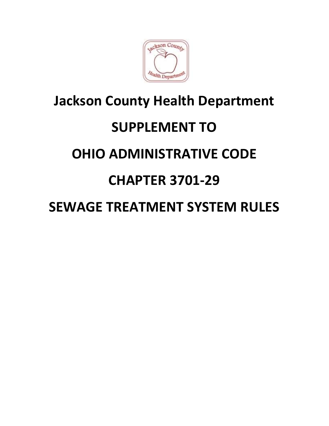

## Jackson County Health Department SUPPLEMENT TO OHIO ADMINISTRATIVE CODE CHAPTER 3701-29

## SEWAGE TREATMENT SYSTEM RULES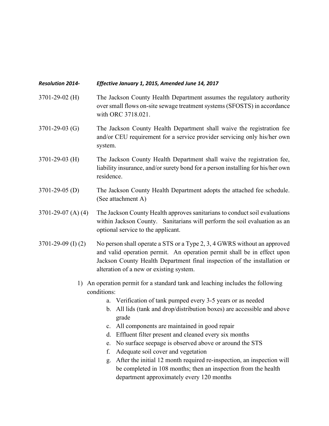## Resolution 2014- Effective January 1, 2015, Amended June 14, 2017

- 3701-29-02 (H) The Jackson County Health Department assumes the regulatory authority over small flows on-site sewage treatment systems (SFOSTS) in accordance with ORC 3718.021.
- 3701-29-03 (G) The Jackson County Health Department shall waive the registration fee and/or CEU requirement for a service provider servicing only his/her own system.
- 3701-29-03 (H) The Jackson County Health Department shall waive the registration fee, liability insurance, and/or surety bond for a person installing for his/her own residence.
- 3701-29-05 (D) The Jackson County Health Department adopts the attached fee schedule. (See attachment A)
- 3701-29-07 (A) (4) The Jackson County Health approves sanitarians to conduct soil evaluations within Jackson County. Sanitarians will perform the soil evaluation as an optional service to the applicant.
- 3701-29-09 (I) (2) No person shall operate a STS or a Type 2, 3, 4 GWRS without an approved and valid operation permit. An operation permit shall be in effect upon Jackson County Health Department final inspection of the installation or alteration of a new or existing system.
	- 1) An operation permit for a standard tank and leaching includes the following conditions:
		- a. Verification of tank pumped every 3-5 years or as needed
		- b. All lids (tank and drop/distribution boxes) are accessible and above grade
		- c. All components are maintained in good repair
		- d. Effluent filter present and cleaned every six months
		- e. No surface seepage is observed above or around the STS
		- f. Adequate soil cover and vegetation
		- g. After the initial 12 month required re-inspection, an inspection will be completed in 108 months; then an inspection from the health department approximately every 120 months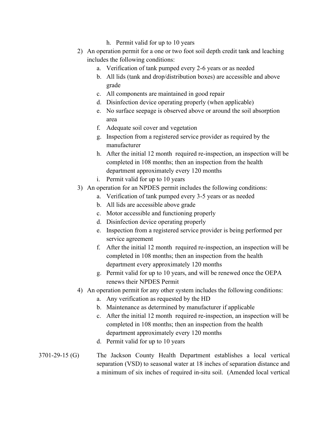- h. Permit valid for up to 10 years
- 2) An operation permit for a one or two foot soil depth credit tank and leaching includes the following conditions:
	- a. Verification of tank pumped every 2-6 years or as needed
	- b. All lids (tank and drop/distribution boxes) are accessible and above grade
	- c. All components are maintained in good repair
	- d. Disinfection device operating properly (when applicable)
	- e. No surface seepage is observed above or around the soil absorption area
	- f. Adequate soil cover and vegetation
	- g. Inspection from a registered service provider as required by the manufacturer
	- h. After the initial 12 month required re-inspection, an inspection will be completed in 108 months; then an inspection from the health department approximately every 120 months
	- i. Permit valid for up to 10 years
- 3) An operation for an NPDES permit includes the following conditions:
	- a. Verification of tank pumped every 3-5 years or as needed
	- b. All lids are accessible above grade
	- c. Motor accessible and functioning properly
	- d. Disinfection device operating properly
	- e. Inspection from a registered service provider is being performed per service agreement
	- f. After the initial 12 month required re-inspection, an inspection will be completed in 108 months; then an inspection from the health department every approximately 120 months
	- g. Permit valid for up to 10 years, and will be renewed once the OEPA renews their NPDES Permit
- 4) An operation permit for any other system includes the following conditions:
	- a. Any verification as requested by the HD
	- b. Maintenance as determined by manufacturer if applicable
	- c. After the initial 12 month required re-inspection, an inspection will be completed in 108 months; then an inspection from the health department approximately every 120 months
	- d. Permit valid for up to 10 years

## 3701-29-15 (G) The Jackson County Health Department establishes a local vertical separation (VSD) to seasonal water at 18 inches of separation distance and a minimum of six inches of required in-situ soil. (Amended local vertical